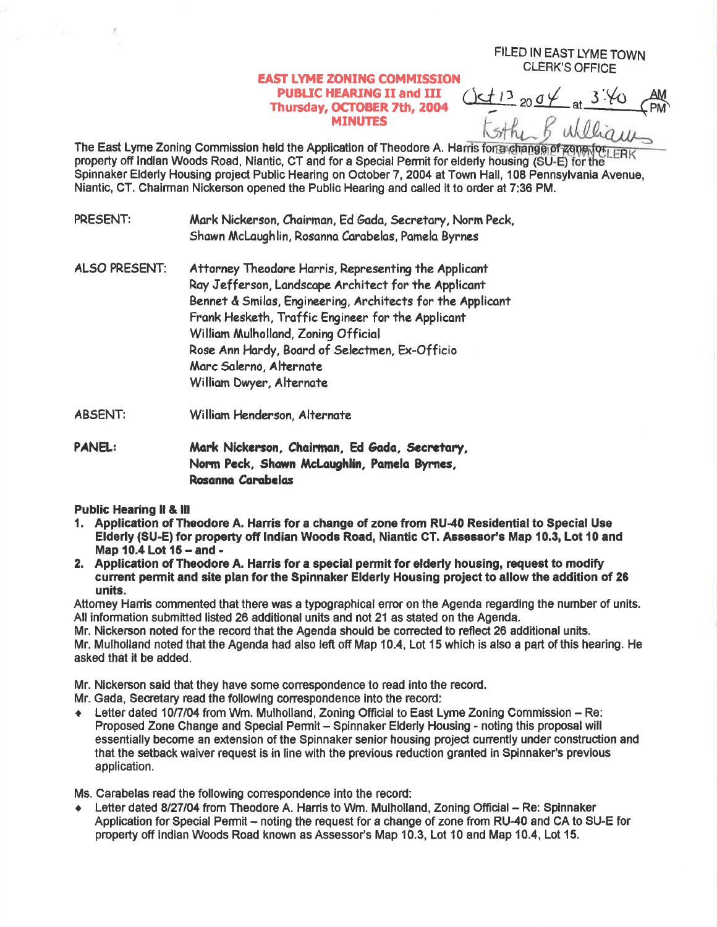## **EAST LYME ZONING COMMISSION PUBLIC HEARING II and III** Thursday, OCTOBER 7th, 2004 **MINUTES**

 $13_{20}04_{at}3.40$ 

FILED IN EAST LYME TOWN **CLERK'S OFFICE** 

The East Lyme Zoning Commission held the Application of Theodore A. Harris for a change of zone for property off Indian Woods Road, Niantic, CT and for a Special Permit for elderly housing (SU-E) for the Spinnaker Elderly Housing project Public Hearing on October 7, 2004 at Town Hall, 108 Pennsylvania Avenue, Niantic, CT. Chairman Nickerson opened the Public Hearing and called it to order at 7:36 PM.

- PRESENT: Mark Nickerson, Chairman, Ed Gada, Secretary, Norm Peck, Shawn McLaughlin, Rosanna Carabelas, Pamela Byrnes
- **ALSO PRESENT:** Attorney Theodore Harris, Representing the Applicant Ray Jefferson, Landscape Architect for the Applicant Bennet & Smilas, Engineering, Architects for the Applicant Frank Hesketh, Traffic Engineer for the Applicant William Mulholland, Zoning Official Rose Ann Hardy, Board of Selectmen, Ex-Officio Marc Salerno, Alternate William Dwyer, Alternate
- **ABSENT:** William Henderson, Alternate
- **PANEL:** Mark Nickerson, Chairman, Ed Gada, Secretary, Norm Peck, Shawn McLaughlin, Pamela Byrnes, Rosanna Carabelas

**Public Hearing II & III** 

- 1. Application of Theodore A. Harris for a change of zone from RU-40 Residential to Special Use Elderly (SU-E) for property off Indian Woods Road, Niantic CT. Assessor's Map 10.3, Lot 10 and Map 10.4 Lot 15 - and -
- 2. Application of Theodore A. Harris for a special permit for elderly housing, request to modify current permit and site plan for the Spinnaker Elderly Housing project to allow the addition of 26 units.

Attorney Harris commented that there was a typographical error on the Agenda regarding the number of units. All information submitted listed 26 additional units and not 21 as stated on the Agenda.

Mr. Nickerson noted for the record that the Agenda should be corrected to reflect 26 additional units. Mr. Mulholland noted that the Agenda had also left off Map 10.4, Lot 15 which is also a part of this hearing. He asked that it be added.

Mr. Nickerson said that they have some correspondence to read into the record.

Mr. Gada, Secretary read the following correspondence into the record:

Letter dated 10/7/04 from Wm. Mulholland, Zoning Official to East Lyme Zoning Commission - Re:  $\blacklozenge$ Proposed Zone Change and Special Permit – Spinnaker Elderly Housing - noting this proposal will essentially become an extension of the Spinnaker senior housing project currently under construction and that the setback waiver request is in line with the previous reduction granted in Spinnaker's previous application.

Ms. Carabelas read the following correspondence into the record:

Letter dated 8/27/04 from Theodore A. Harris to Wm. Mulholland, Zoning Official - Re: Spinnaker Application for Special Permit – noting the request for a change of zone from RU-40 and CA to SU-E for property off Indian Woods Road known as Assessor's Map 10.3, Lot 10 and Map 10.4, Lot 15.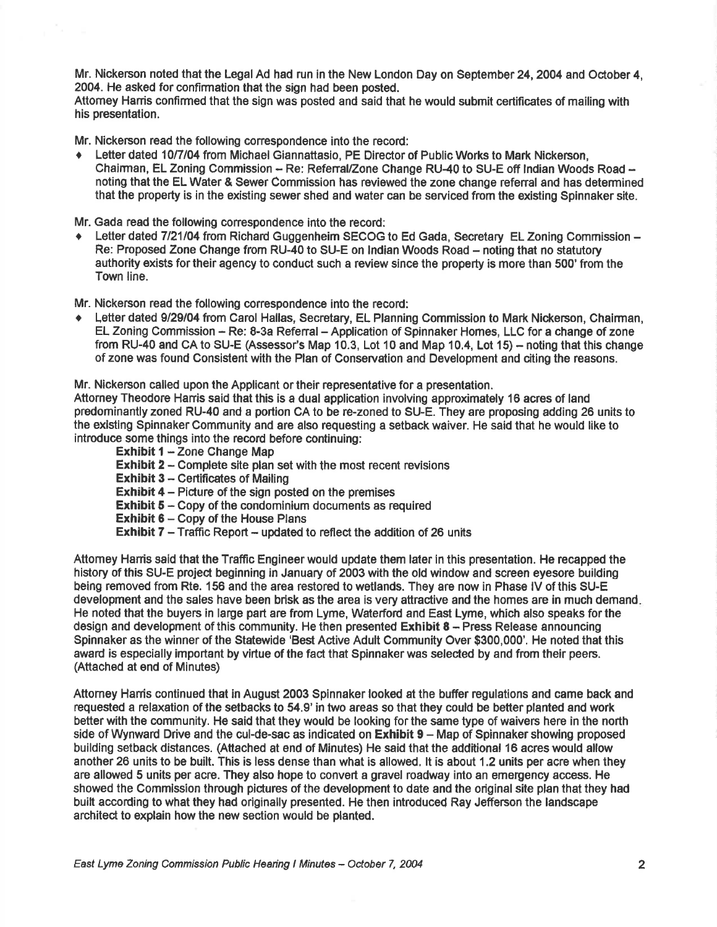Mr. Nickerson noted that the Legal Ad had run in the New London Day on September 24, 2004 and October 4, 2004. He asked for confirmation that the sign had been posted.

Attomey Hanis conflrmed that the sign was posted and said that he would submit certificates of mailing with his presentation.

Mr. Nickerson read the following correspondence into the record:

. Letter dated 10/7/04 from Michael Giannattasio, PE Director of Public Works to Mark Nickerson, Chairman, EL Zoning Commission - Re: Referral/Zone Change RU-40 to SU-E off Indian Woods Road noting that the EL Water & Sewer Commission has reviewed the zone change refenal and has determined that the property is in the existing sewer shed and water can be serviced from the existing Spinnaker site.

Mr. Gada read the following correspondence into the record:<br>• Letter dated 7/21/04 from Richard Guggenheim SECOG to Ed Gada, Secretary EL Zoning Commission -Re: Proposed Zone Change from RU-40 to SU-E on Indian Woods Road - noting that no statutory authority exists for their agency to conduct such a review since the property is more than 500' from the Town line.

Mr. Nickerson read the following correspondence into the record:

Letter dated 9/29/04 from Carol Hallas, Secretary, EL Planning Commission to Mark Nickerson, Chairman, EL Zoning Commission - Re: 8-3a Referral - Application of Spinnaker Homes, LLC for a change of zone from RU-40 and CA to SU-E (Assessor's Map 10.3, Lot 10 and Map 10.4, Lot 15) – noting that this change of zone was found Consistent with the Plan of Conservation and Development and citing the reasons.

Mr. Nickerson called upon the Applicant or their representative for a presentation.

Attorney Theodore Harris said that this is a dual application involving approximately 16 acres of land predominantly zoned RU-40 and a portion CA to be re-zoned to SU-E. They are proposing adding 26 units to the existing Spinnaker Community and are also requesting a setback waiver. He said that he would like to introduce some things into the record before continuing:

- Exhibit  $1 -$ Zone Change Map
- Exhibit 2 Complete site plan set with the most recent revisions
- **Exhibit 3 Certificates of Mailing**
- Exhibit 4 Picture of the sign posted on the premises
- **Exhibit**  $5 Copy$  of the condominium documents as required
- **Exhibit 6 Copy of the House Plans**
- **Exhibit 7** Traffic Report updated to reflect the addition of 26 units

Attomey Hanis sald that the Traffic Engineer would update them later in this presentation. He recapped the history of this SU-E project beginning in January of 2003 with the old window and screen eyesore building being removed from Rte. 156 and the area restored towetlands. They are now in Phase lV of this SU-E development and the sales have been brisk as the area is very attractive and the homes are in much demand He noted that the buyers in larye part are from Lyme, Waterford and East Lyme, whioh also speaks forthe design and development of this community. He then presented Exhibit 8 - Press Release announcing Spinnaker as the winner of the Statewide 'Best Active Adult Community Over \$300,000'. He noted that this award is especially important by virtue of the fact that Spinnaker was selected by and from their peers. (Attached at end of Minutes)

Attomey Hanis continued that in August 2003 Spinnaker looked at the buffer regulations and came back and requested a relaxation of the setbacks to 54.9'in two areas so that they could be better planted and work better with the community. He said that they would be looking for the same type of waivers here in the north side of Wynward Drive and the cul-de-sac as indicated on Exhibit 9 - Map of Spinnaker showing proposed building setback distances. (Attached at end of Minutes) He said that the additional 16 acres would allow another 26 units to be built. This is less dense than what is allowed, lt is about 1.2 units per acre when they are allowed 5 units per acre. They also hope to convert a gravel roadway into an emergency access. He showed the Commlssion through pidures of the development to date and the original site plan that they had built according to what they had originally presented. He then introduced Ray Jefferson the landscape archited to explain how the new section would be planted.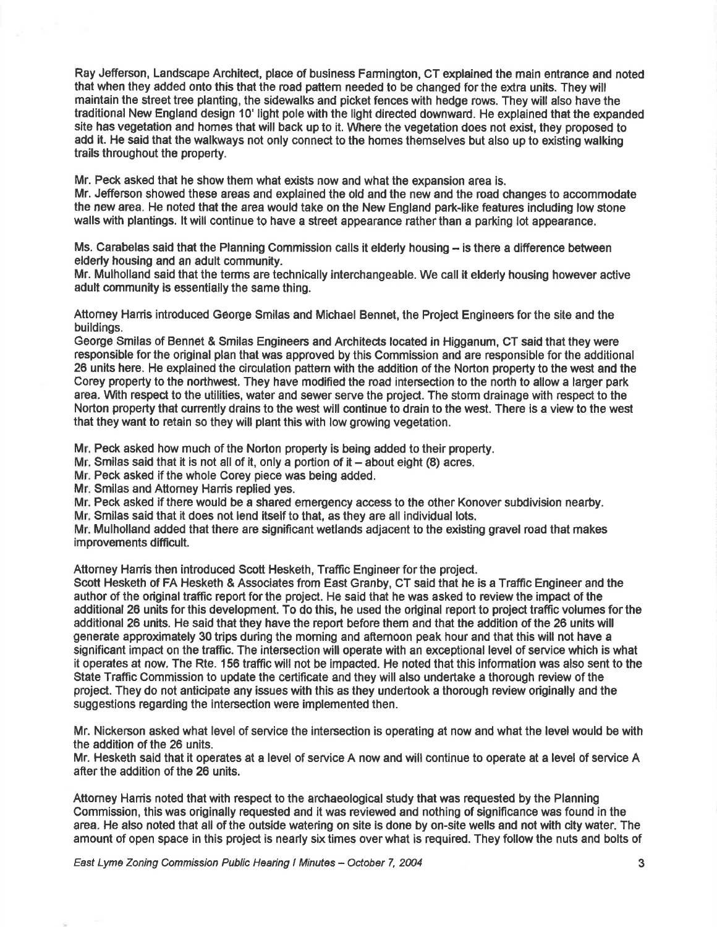Ray Jefferson, Landscape Architect, place of business Farmington, CT explained the main entrance and noted that when they added onto this that the road pattem needed to be changed for the extra units. They will maintain the street tree planting, the sidewalks and picket fences with hedge rows. They will also have the traditional New England design 10' light pole with the light directed downward. He explained that the expanded site has vegetation and homes that will back up to it. Where the vegetation does not exist, they proposed to add it. He said that the walkways not only conned to the homes themselves but also up to existing walking trails throughout the property.

Mr. Peck asked that he show them what exists now and what the expansion area is. Mr. Jefferson showed these areas and explained the old and the new and the road changes to accommodate the new area. He noted that the area would take on tho New England park-like features including low stone walls with plantings. lt will continue to have a street appeerance rather than a parking lot appearance.

Ms. Carabelas said that the Planning Commission calls it elderly housing  $-$  is there a difference between elderly housing and an adult community.

Mr. Mulholland said that the terms are technically interchangeable. We call it elderly housing however active adult community is essentially the same thing.

Attomey Harris introduced George Smilas and Michael Bennet, the Project Engineers for the site and the buildings.

George Smilas of Bennet & Smilas Engineers and Architects located in Higganum, CT said that they were responsible for the original plan that was approved by this Commission and are responsible for the additional 26 units here. He explained the circulation pattern with the addition of the Norton property to the west and the Corey property to the northwest. They have modified the road intersec{ion to the north to allow a larger park area, \Mth respect to the utilities, water and sewer serve the project. The storm drainage with respect to the Norton property lhat cunently drains to the west will continue to drain to the west, There is a view to the west that they wanl to retain so they will plant this with low growing vegetation.

Mr. Peck asked how much of the Norton property is being added to their property.

Mr. Smilas said that it is not all of it, only a portion of it  $-$  about eight (8) acres.

Mr. Peck asked if the whole Corey piece was being added.

Mr. Smilas and Attorney Harris replied yes.

Mr. Peck asked if there would be a shared emergency access to the other Konover subdivision nearby.

Mr. Smilas said that it does not lend itself to that, as they are all individual lots.

Mr. Mulholland added that there are significant wetlands adjacent to the existing gravel road that makes improvements difficult.

Attorney Hanis then introduced Scott Hesketh, Traffic Engineer for the project.

Scott Hesketh of FA Hesketh & Associates from East Granby, CT said that he is a Traffic Engineer and the author of the original traffic report for the project. He said that he was asked to review the impact of the additional 26 units for this development. To do this, he used the original report to project traffic volumes for the additional 26 units. He said that they have the report before them and that the addition of the 26 units will generate approximately 30 trips during the moming and aflemoon peak hour and that this will not have a significant impact on the traffic. The intersection will operate with an exceptional level of service which is what it operates at now, The Rte. 156 trafficwill not be impacted. He noted that this information was also sent to the State Traffic Commission to update the certificate and they will also undertake a thorough review of the project. They do not anticipate any issues with this as they undertook a thorough review ofiginally and the suggestions regarding the intersection were implemented then.

Mr. Nickerson asked what level of service the intersection is operating at now and what the level would be with the addition of the 26 units.

Mr. Hesketh said that it operates at a level of service A now and will continue to operate at a level of service A after the addition of the 26 units.

Attomey Hanis noted that with respect to the archaeological study that was requested by the Planning Commission, this was originally requested and it was reviewed and nothing of significance was found in the area. He also noted that all of the outside watering on site is done by on-site wells and not with city water. The amount of open space in this project is nearly six times over what is required. They follow the nuts and bolts of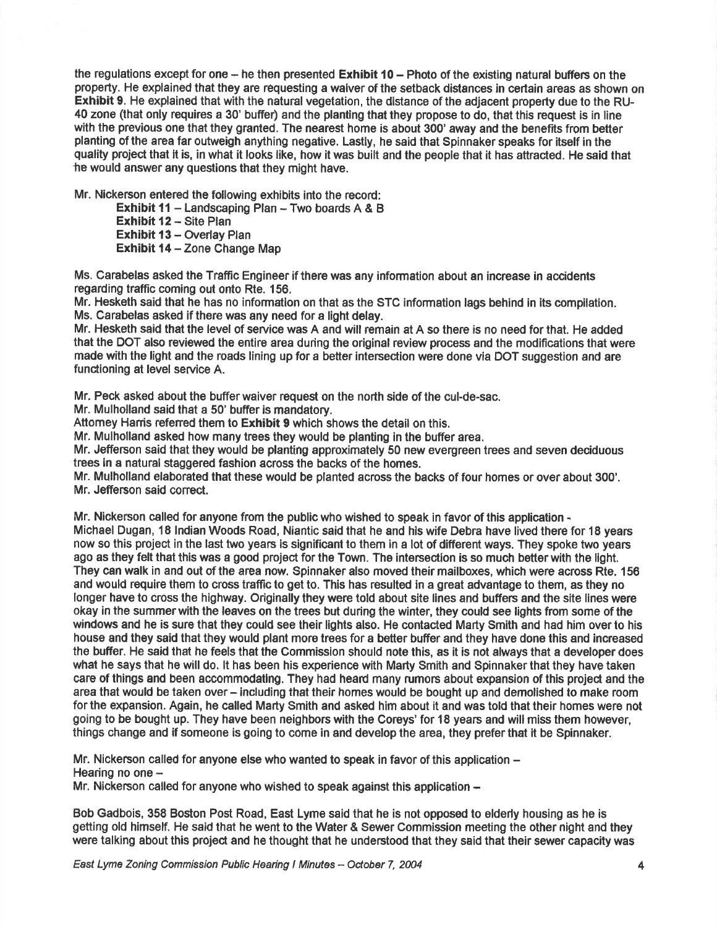the regulations except for one  $-$  he then presented Exhibit 10  $-$  Photo of the existing natural buffers on the property. He explained that they are requesting a waiver of the setback distances in certain areas as shown on Exhibit 9. He explained that with the natural vegetation, the distance of the adjacent property due to the RU-40 zone (that only requires a 30' buffer) and the planting that they propose to do, that this request is in line with the previous one that they granted. The nearest home is about 300' away and the benefits from better planting of the area far outweigh anything negative. Lastly, he said that Spinnaker speaks for itself in the quality project that it is, in what it looks like, how it was built and the people that it has attracted. He said that the would answer any questions that they might have.

Mr. Nlckerson entered the following exhibits into the record:

Exhibit 11 - Landscaping Plan - Two boards  $A & B$ 

**Exhibit 12 - Site Plan** Exhibit 13 - Overlay Plan Exhibit 14 - Zone Change Map

Ms. Carabelas asked the Traffic Engineer if there was any information about an increase in accidents regarding traffic coming out onto Rte. 156.

Mr. Hesketh said that he has no information on that as the STC information lags behind in its compilation. Ms. Carabelas asked if there was any need for a light delay.

Mr. Hesketh said that the level of service was A and will remain at A so there is no need for that. He added that the DOT also reviewed the entire area during the original review process and the modifications that were made with the light and the roads lining up for a better intersection were done via DOT suggestion and are functioning at level service A.

Mr. Peck asked about the buffer waiver request on the north side of the cul-de-sac.

Mr. Mulholland said that a 50' buffer is mandatory.

Attomey Harris referred them to **Exhibit 9** which shows the detail on this.

Mr. Mulholland asked how many trees they would be planting in the buffer area.

Mr. Jefferson said that they would be planting approximately 50 new evergreen trees and seven deciduous trees in a natural staggered fashion across the backs of the homes.

Mr. Mulholland elaborated that these would be planted across the backs of four homes or over about 300'. Mr. Jefferson said conect.

Mr. Nickerson called for anyone from the public who wished to speak in favor of this application -

Michael Dugan, 18 Indian Woods Road, Niantic said that he and his wife Debra have lived there for 18 years now so this project in the last two years is significant to them in a lot of different ways. They spoke two years ago as they felt that this was a good projest for the Town. The intersection is so much better with the light. They can walk in and out of the area now. Spinnaker also moved their mailboxes, which were across Rte. 156 and would require them to cross traffic to get to. This has resulted in a great advantage to them, as they no longer have to cross the highway. Originally they were told about site lines and buffers and the site lines were okay in the summerwith the leaves on the trees but during the winter, they could see lights from some of the windows and he is sure that they could see their lights also. He contacted Marty Smith and had him overto his house and they said that they would plant more trees for a better buffer and they have done this and increased the buffer. He said that he feels that the Commission should note this, as it is not always that a developer does what he says that he will do. lt has been his experience with Marty Smith and Spinnaker that they have taken care of things and been accommodating. They had heard many rumors about expansion of this project and the area that would be taken over- including that their homes would be bought up and demolished to make room forthe expansion. Again, he called Marty Smith and asked him about it and was told that their homes were not going to be bought up. They have been neighbors with the Coreys' for l8 years and will miss them however, things ohange and if someone is going to come in and develop the area, they prefer that it be Spinnaker.

Mr. Nickerson called for anyone else who wanted to speak in favor of this application -Hearing no one  $-$ 

Mr. Nickerson called for anyone who wished to speak against this application \*

Bob Gadbois, 358 Boston Post Road, East Lyme said that he is not opposed to elderly housing as he is getting old himself. He said that he went to the Water & Sewer Commission meeting the other night and they were talking about this project and he thought that he understood that they said that their sewer capacity was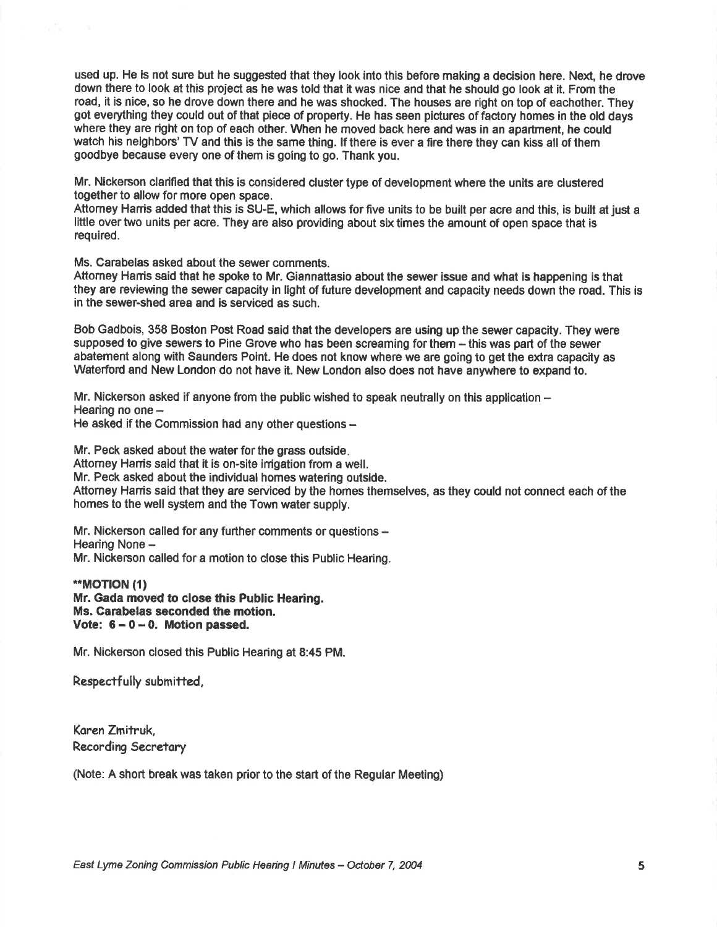used up. He is not sure but he suggested that they look into this before making a decision here. Next, he drove down there to look at this project as he was told that it was nice and that he should go look at it. From the road, it is nice, so he drove down there and he was shocked. The houses are right on top of eachother. They got everything they could out of that piece of property. He has seen pictures of factory homes in the old days where they are right on top of each other. When he moved back here and was in an apartment, he could watch his neighbors' TV and this is the same thing. If there is ever a fire there they can kiss all of them goodbye because every one of them is going to go. Thank you.

Mr. Nickerson clarified that this is considered cluster type of development where the units are clustered together to allow for more open space.

Attorney Harris added that this is SU-E, which allows for five units to be built per acre and this, is built at just a little over two units per acre. They are also providing about six times the amount of open space that is requlred.

Ms. Carabelas asked about the sewer comments.

Aftomey Hanis said that he spoke to Mr. Giannattasio about the sewer issue and what is happening is that they are revlewing the sewer oapacity in light of future development and capacity needs down the road. This is in the sewer-shed area and is serviced as such.

Bob Gadbois, 358 Boston Post Road said that the developers are using up the sewer capacity. They were supposed to give sewers to Pine Grove who has been screaming forthem - this was part of the sewer abatement along with Saunders Point. He does not know where we are going to get the extra capacity as Waterford and New London do not have it. New London also does not have anywhere to expand to.

Mr. Nickerson asked if anyone from the public wished to speak neutrally on this application -Hearing no one  $-$ He asked if the Commission had any other questions  $-$ 

Mr. Peck asked about the water for the grass outside. Attomey Harris said that it is on-site irrigation from a well. Mr. Peck asked about the individual homes watering outside. Attorney Harris said that they are serviced by the homes themselves, as they could not connect each of the homes to the well system and the Town water supply.

Mr. Nickerson called for any further comments or questions -Hearing None -Mr. Nickerson called for a motion to close this Public Hearing.

\*MOT|ON (1) Mr. Gada moved to close this Public Hearing. Ms. Carabelas seconded the motion. Vote:  $6 - 0 - 0$ . Motion passed.

Mr. Nickerson closed this Publio Hearing at 8:45 PM.

Respectfully submitted,

Koren Zmitruk, Racording Secretory

(Note: A short break was taken prior to the start of the Regular Meeting)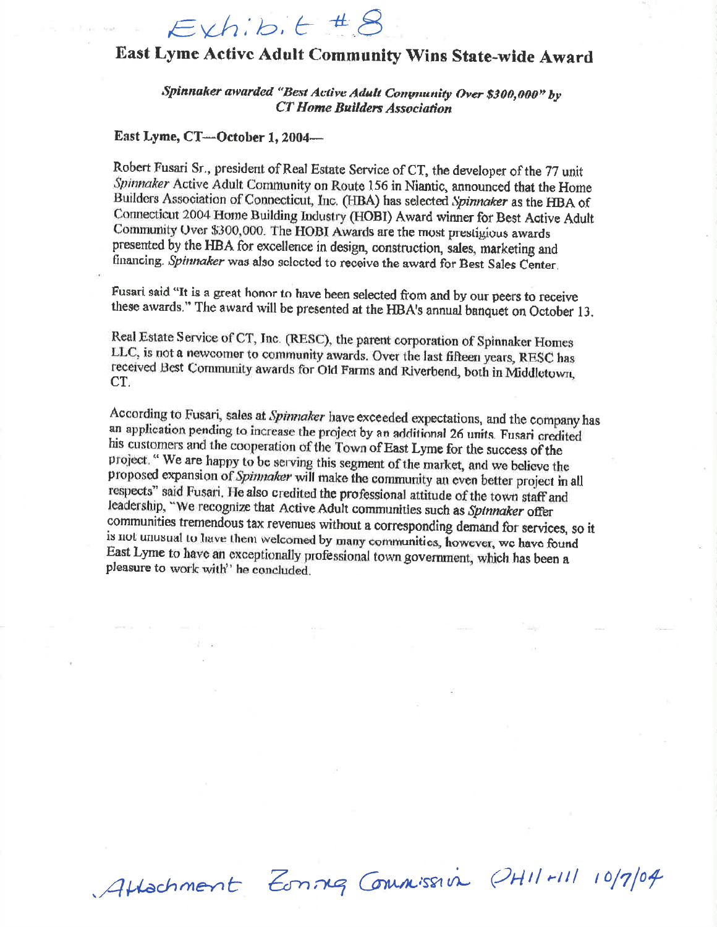## $Exh:b.t.$ #8

## East Lyme Active Adult Community Wins State-wide Award

Spinnaker awarded "Best Active Adult Community Over \$300,000" by **CT Home Builders Association** 

## East Lyme, CT-October 1, 2004-

Robert Fusari Sr., president of Real Estate Service of CT, the developer of the 77 unit Spinnaker Active Adult Community on Route 156 in Niantic, announced that the Home Builders Association of Connecticut, Inc. (HBA) has selected Spinnaker as the HBA of Connecticut 2004 Home Building Industry (HOBI) Award winner for Best Active Adult Community Over \$300,000. The HOBI Awards are the most prestigious awards presented by the HBA for excellence in design, construction, sales, marketing and financing. Spinnaker was also selected to receive the award for Best Sales Center.

Fusari said "It is a great honor to have been selected from and by our peers to receive these awards." The award will be presented at the HBA's annual banquet on October 13.

Real Estate Service of CT, Inc. (RESC), the parent corporation of Spinnaker Homes LLC, is not a newcomer to community awards. Over the last fifteen years, RESC has received Best Community awards for Old Farms and Riverbend, both in Middletown, CT.

According to Fusari, sales at Spinnaker have exceeded expectations, and the company has an application pending to increase the project by an additional 26 units. Fusari credited his customers and the cooperation of the Town of East Lyme for the success of the project. "We are happy to be serving this segment of the market, and we believe the proposed expansion of Spinnaker will make the community an even better project in all respects" said Fusari. He also credited the professional attitude of the town staff and leadership, "We recognize that Active Adult communities such as Spinnaker offer communities tremendous tax revenues without a corresponding demand for services, so it is not unusual to have them welcomed by many communities, however, we have found East Lyme to have an exceptionally professional town government, which has been a pleasure to work with" he concluded.

Attachment Zonneg Commission PHIL-111 10/7/04